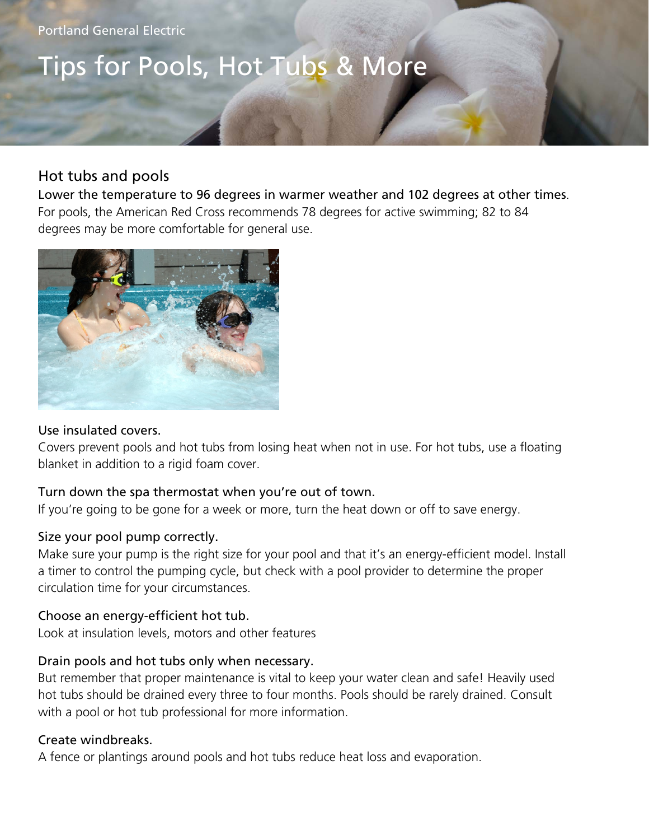Portland General Electric

## Tips for Pools, Hot Tubs & More

## Hot tubs and pools

Lower the temperature to 96 degrees in warmer weather and 102 degrees at other times. For pools, the American Red Cross recommends 78 degrees for active swimming; 82 to 84 degrees may be more comfortable for general use.



## Use insulated covers.

Covers prevent pools and hot tubs from losing heat when not in use. For hot tubs, use a floating blanket in addition to a rigid foam cover.

## Turn down the spa thermostat when you're out of town.

If you're going to be gone for a week or more, turn the heat down or off to save energy.

## Size your pool pump correctly.

Make sure your pump is the right size for your pool and that it's an energy-efficient model. Install a timer to control the pumping cycle, but check with a pool provider to determine the proper circulation time for your circumstances.

## Choose an energy-efficient hot tub.

Look at insulation levels, motors and other features

## Drain pools and hot tubs only when necessary.

But remember that proper maintenance is vital to keep your water clean and safe! Heavily used hot tubs should be drained every three to four months. Pools should be rarely drained. Consult with a pool or hot tub professional for more information.

## Create windbreaks.

A fence or plantings around pools and hot tubs reduce heat loss and evaporation.